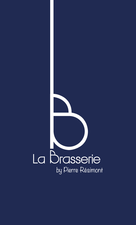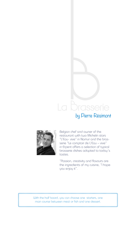## **asser** Te





1000000000

Belgian chef and owner of the restaurant with two Michelin stars "L'Eau- vive" in Namur and the brasserie "Le comptoir de L'Eau – vive" in Erpent offers a selection of typical brasserie dishes adapted to today's tastes.

"Passion, creativity and flavours are the ingredients of my cuisine, "I hope you enjoy it".

XXXXXXXXX

With the half board, you can choose one starters, one main course between meat or fish and one dessert.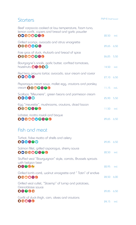| Starters                                                                                                             |       | $PVP \in I$ Half board |  |
|----------------------------------------------------------------------------------------------------------------------|-------|------------------------|--|
| Beef carpaccio cooked at low temperature, foam tuna,<br>lemon confit, capers and bread and garlic powder<br>00000000 | 22,50 | ind.                   |  |
| Grilled scampi, avocado and citrus vinaigrette<br>0000000                                                            | 29,65 | 6,50                   |  |
| Foie gras of duck, rhubarb and bread of spice<br>00000000                                                            | 26,25 | 5,50                   |  |
| Bourgogne's snails, garlic butter, confited tomatoes,<br>hazeInuts <b>OG @O</b>                                      | 14,50 | ind.                   |  |
| Red king prawns tartar, avocado, sour cream and caviar<br>00006                                                      | 27,10 | 6,50                   |  |
| Asparagus cream soup, mollet egg, croutons and parsley<br><b>Cream 00000000</b>                                      | 11,15 | ind.                   |  |
| Scallops "Meuniere", green beans and parmesan cream<br>00060                                                         | 25,90 | 5,50                   |  |
| Egg "meurette", mushrooms, croutons, diced bacon<br>0000000                                                          | 11,50 | ind.                   |  |
| Lobster, ricotta ravioli and bisque<br>0000000000                                                                    | 29,65 | 6,50                   |  |
| Fish and meat                                                                                                        |       |                        |  |

| Turbot, false risotto of shells and celery<br>00080®                                      | 29,85 6,50 |      |
|-------------------------------------------------------------------------------------------|------------|------|
| Salmon fillet, grilled asparagus, sherry sauce<br>000000000                               | 22.50      | ind. |
| Stuffed veal "Bourguignon" style, carrots, Brussels sprouts<br>with belgian beer<br>08006 | 22,95      | ind. |
| Grilled lamb carré, walnut vinaigrette and "Tatin" of endive<br>000060                    | 28.50      | 6.00 |
| Grilled veal cutlet, "Stoemp" of turnip and potatoes,<br>Grenobloise squce<br>08000       | 29,85 6,50 |      |
| Confit of duck thigh, corn, olives and croutons<br>00060                                  | 24.15      | ind. |